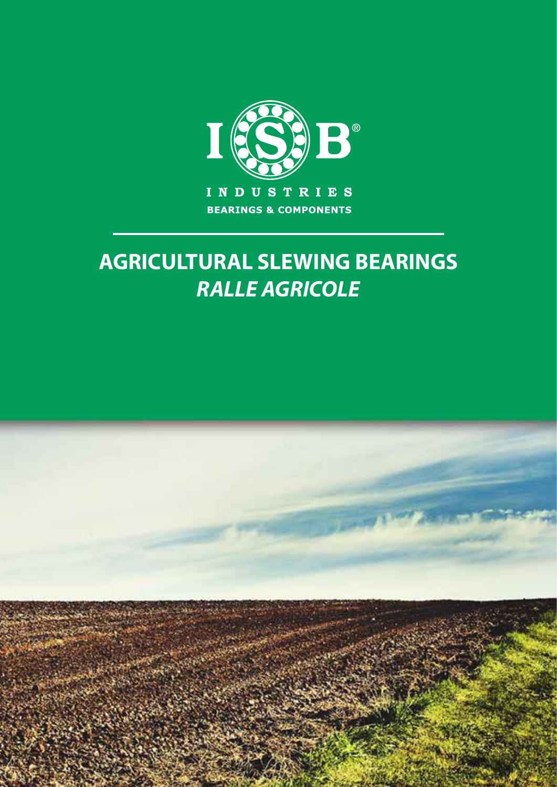

## **AGRICULTURAL SLEWING BEARINGS** *RALLE AGRICOLE*